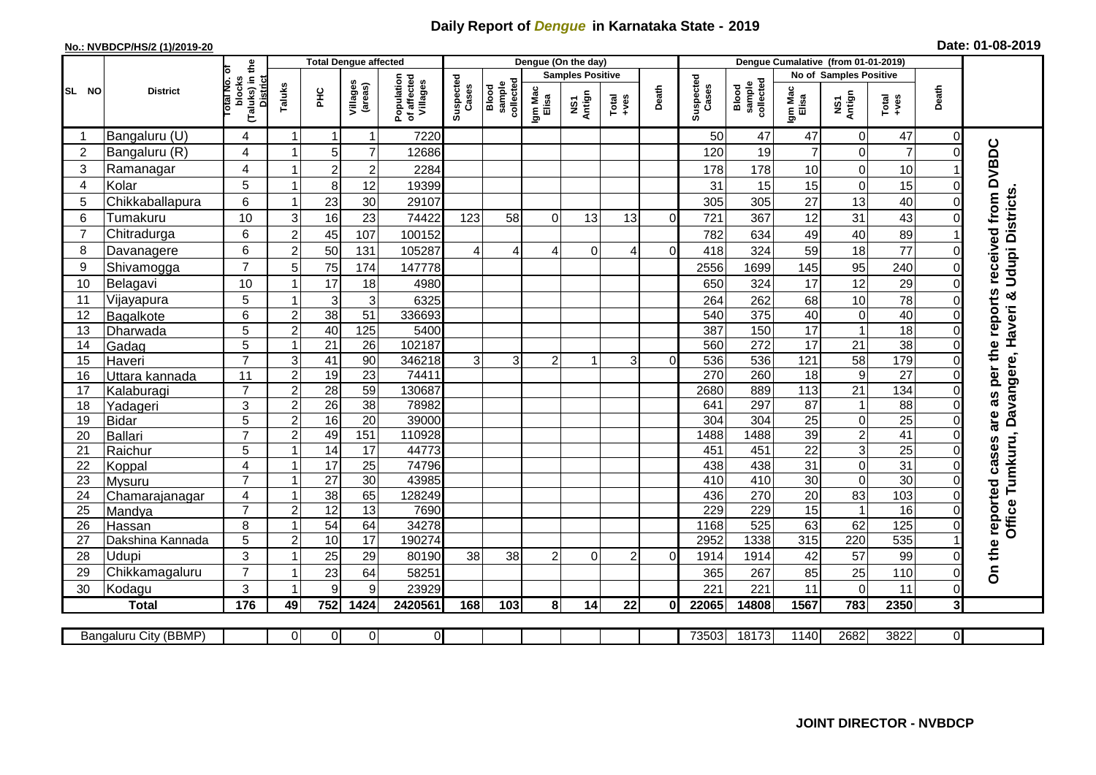## **Daily Report of** *Dengue* **in Karnataka State - 2019**

## **No.: NVBDCP/HS/2 (1)/2019-20 Date: 01-08-2019**

|                 | <b>District</b>       |                                                      | <b>Total Dengue affected</b> |                  |                     |                                       |                    |                              |                         | Dengue (On the day) |                |          |                    |                              |                  |                               |                  |                |                        |
|-----------------|-----------------------|------------------------------------------------------|------------------------------|------------------|---------------------|---------------------------------------|--------------------|------------------------------|-------------------------|---------------------|----------------|----------|--------------------|------------------------------|------------------|-------------------------------|------------------|----------------|------------------------|
|                 |                       |                                                      |                              |                  |                     |                                       |                    |                              | <b>Samples Positive</b> |                     |                |          |                    |                              |                  | <b>No of Samples Positive</b> |                  |                |                        |
| SL NO           |                       | (Taluks) in the<br>District<br>otal No. of<br>blocks | Taluks                       | <b>PHC</b>       | Villages<br>(areas) | Population<br>of affected<br>Villages | Suspected<br>Cases | sample<br>collected<br>Blood | Igm Mac<br>Elisa        | NS1<br>Antign       | $Total$        | Death    | Suspected<br>Cases | collected<br>sample<br>Blood | Igm Mac<br>Elisa | NS1<br>Antign                 | $Tota$<br>$+ves$ | Death          |                        |
|                 | Bangaluru (U)         | 4                                                    | -1                           |                  | 1                   | 7220                                  |                    |                              |                         |                     |                |          | 50                 | 47                           | 47               | 0                             | 47               | $\Omega$       |                        |
| 2               | Bangaluru (R)         | 4                                                    |                              | 5                | $\overline{7}$      | 12686                                 |                    |                              |                         |                     |                |          | 120                | 19                           | 7                | 0                             | $\overline{7}$   | $\Omega$       |                        |
| 3               | Ramanagar             | 4                                                    |                              | $\boldsymbol{2}$ | $\overline{c}$      | 2284                                  |                    |                              |                         |                     |                |          | 178                | 178                          | 10               | 0                             | 10               |                | received from DVBDC    |
| $\overline{4}$  | Kolar                 | 5                                                    |                              | 8                | 12                  | 19399                                 |                    |                              |                         |                     |                |          | 31                 | 15                           | 15               | 0                             | 15               | $\Omega$       |                        |
| 5               | Chikkaballapura       | 6                                                    |                              | 23               | 30                  | 29107                                 |                    |                              |                         |                     |                |          | 305                | 305                          | 27               | 13                            | 40               | $\Omega$       |                        |
| 6               | Tumakuru              | 10                                                   | 3                            | 16               | 23                  | 74422                                 | 123                | 58                           | $\Omega$                | 13                  | 13             | $\Omega$ | 721                | 367                          | 12               | 31                            | 43               | $\Omega$       |                        |
| $\overline{7}$  | Chitradurga           | 6                                                    | $\overline{2}$               | 45               | 107                 | 100152                                |                    |                              |                         |                     |                |          | 782                | 634                          | 49               | 40                            | 89               |                |                        |
| 8               | Davanagere            | 6                                                    | $\overline{2}$               | 50               | 131                 | 105287                                | $\overline{4}$     | $\overline{4}$               | 4                       | $\Omega$            | 4              | $\Omega$ | 418                | 324                          | 59               | 18                            | $\frac{1}{77}$   | $\Omega$       |                        |
| 9               | Shivamogga            | $\overline{7}$                                       | 5                            | 75               | 174                 | 147778                                |                    |                              |                         |                     |                |          | 2556               | 1699                         | 145              | 95                            | 240              | $\Omega$       | <b>Udupi Districts</b> |
| 10              | Belagavi              | 10                                                   |                              | 17               | 18                  | 4980                                  |                    |                              |                         |                     |                |          | 650                | 324                          | 17               | $\overline{12}$               | 29               | $\Omega$       |                        |
| 11              | Vijayapura            | 5                                                    |                              | 3                | 3                   | 6325                                  |                    |                              |                         |                     |                |          | 264                | 262                          | 68               | 10                            | 78               | $\Omega$       | per the reports<br>ళ   |
| 12              | Bagalkote             | 6                                                    | $\overline{c}$               | 38               | 51                  | 336693                                |                    |                              |                         |                     |                |          | 540                | 375                          | 40               | $\mathbf 0$                   | 40               | $\Omega$       | Haveri                 |
| 13              | Dharwada              | 5                                                    | $\overline{c}$               | 40               | 125                 | 5400                                  |                    |                              |                         |                     |                |          | 387                | 150                          | 17               | $\mathbf{1}$                  | 18               | $\mathbf 0$    |                        |
| 14              | Gadag                 | $\overline{5}$                                       | $\overline{\mathbf{1}}$      | $\overline{21}$  | $\overline{26}$     | 102187                                |                    |                              |                         |                     |                |          | 560                | 272                          | $\overline{17}$  | $\overline{21}$               | 38               | $\Omega$       |                        |
| 15              | Haveri                | $\overline{7}$                                       | 3                            | $\overline{41}$  | 90                  | 346218                                | 3                  | $\overline{3}$               | $\overline{2}$          |                     | $\overline{3}$ | $\Omega$ | 536                | 536                          | 121              | 58                            | 179              | $\Omega$       |                        |
| 16              | Uttara kannada        | 11                                                   | $\overline{2}$               | 19               | 23                  | 74411                                 |                    |                              |                         |                     |                |          | 270                | 260                          | $\overline{18}$  | $\overline{9}$                | $\overline{27}$  | $\mathbf 0$    | Davangere,             |
| 17              | Kalaburagi            | $\overline{7}$                                       | $\overline{2}$               | $\overline{28}$  | 59                  | 130687                                |                    |                              |                         |                     |                |          | 2680               | 889                          | 113              | 21                            | 134              | $\Omega$       |                        |
| 18              | Yadageri              | 3                                                    | $\overline{2}$               | 26               | 38                  | 78982                                 |                    |                              |                         |                     |                |          | 641                | 297                          | 87               | 1                             | 88               | $\Omega$       |                        |
| 19              | Bidar                 | $\overline{5}$                                       | $\overline{2}$               | 16               | $\overline{20}$     | 39000                                 |                    |                              |                         |                     |                |          | 304                | 304                          | $\overline{25}$  | 0                             | 25               | $\Omega$       | are as                 |
| 20              | Ballari               | $\overline{7}$                                       | $\overline{2}$               | 49               | 151                 | 110928                                |                    |                              |                         |                     |                |          | 1488               | 1488                         | 39               | $\overline{2}$                | $\overline{41}$  | $\Omega$       | Tumkuru,               |
| 21              | Raichur               | 5                                                    | $\overline{\mathbf{1}}$      | 14               | 17                  | 44773                                 |                    |                              |                         |                     |                |          | 451                | 451                          | $\overline{22}$  | 3                             | $\overline{25}$  | $\Omega$       |                        |
| 22              | Koppal                | 4                                                    |                              | 17               | 25                  | 74796                                 |                    |                              |                         |                     |                |          | 438                | 438                          | 31               | 0                             | 31               | $\Omega$       |                        |
| 23              | <b>Mysuru</b>         | $\overline{7}$                                       |                              | $\overline{27}$  | $\overline{30}$     | 43985                                 |                    |                              |                         |                     |                |          | 410                | 410                          | 30               | 0                             | 30               | $\mathbf 0$    |                        |
| 24              | Chamarajanagar        | $\overline{4}$                                       |                              | 38               | 65                  | 128249                                |                    |                              |                         |                     |                |          | 436                | 270                          | 20               | 83                            | 103              | $\overline{0}$ |                        |
| $\overline{25}$ | Mandya                | $\overline{7}$                                       | $\overline{2}$               | 12               | 13                  | 7690                                  |                    |                              |                         |                     |                |          | 229                | 229                          | 15               | $\overline{1}$                | 16               | $\Omega$       | Office                 |
| 26              | Hassan                | 8                                                    |                              | 54               | 64                  | 34278                                 |                    |                              |                         |                     |                |          | 1168               | 525                          | 63               | 62                            | 125              | $\mathbf 0$    |                        |
| 27              | Dakshina Kannada      | 5                                                    | $\overline{2}$               | 10               | $\overline{17}$     | 190274                                |                    |                              |                         |                     |                |          | 2952               | 1338                         | 315              | 220                           | 535              |                |                        |
| 28              | Udupi                 | 3                                                    |                              | 25               | 29                  | 80190                                 | 38                 | 38                           | $\overline{2}$          | $\Omega$            | $\overline{2}$ | $\Omega$ | 1914               | 1914                         | 42               | 57                            | 99               | 0              | On the reported cases  |
| 29              | Chikkamagaluru        | $\overline{7}$                                       |                              | 23               | 64                  | 58251                                 |                    |                              |                         |                     |                |          | 365                | 267                          | 85               | 25                            | 110              | $\Omega$       |                        |
| 30              | Kodagu                | 3                                                    |                              | 9                | 9                   | 23929                                 |                    |                              |                         |                     |                |          | 221                | 221                          | 11               | 0                             | 11               | $\Omega$       |                        |
|                 | <b>Total</b>          | 176                                                  | 49                           | 752              | 1424                | 2420561                               | 168                | 103                          | 8                       | 14                  | 22             | 0        | 22065              | 14808                        | 1567             | 783                           | 2350             | 3              |                        |
|                 | Bangaluru City (BBMP) |                                                      | $\Omega$                     | $\overline{0}$   | $\overline{0}$      | $\overline{0}$                        |                    |                              |                         |                     |                |          | 73503              | 18173                        | 1140             | 2682                          | 3822             | $\overline{0}$ |                        |